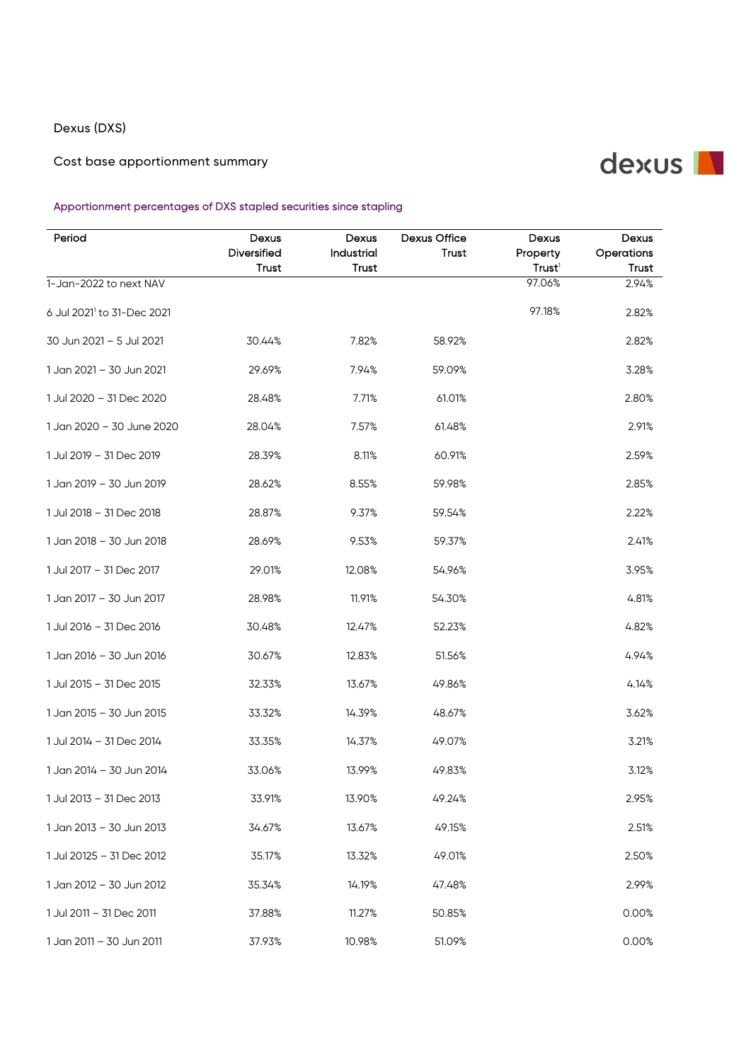## Dexus (DXS)

Cost base apportionment summary

## dexus N

## Apportionment percentages of DXS stapled securities since stapling

| Period                                 | Dexus<br>Diversified<br><b>Trust</b> | Dexus<br>Industrial<br><b>Trust</b> | Dexus Office<br>Trust | Dexus<br>Property<br>Trust <sup>1</sup> | Dexus<br>Operations<br><b>Trust</b> |
|----------------------------------------|--------------------------------------|-------------------------------------|-----------------------|-----------------------------------------|-------------------------------------|
| 1-Jan-2022 to next NAV                 |                                      |                                     |                       | 97.06%                                  | 2.94%                               |
| 6 Jul 2021 <sup>1</sup> to 31-Dec 2021 |                                      |                                     |                       | 97.18%                                  | 2.82%                               |
| 30 Jun 2021 - 5 Jul 2021               | 30.44%                               | 7.82%                               | 58.92%                |                                         | 2.82%                               |
| 1 Jan 2021 - 30 Jun 2021               | 29.69%                               | 7.94%                               | 59.09%                |                                         | 3.28%                               |
| 1 Jul 2020 - 31 Dec 2020               | 28.48%                               | 7.71%                               | 61.01%                |                                         | 2.80%                               |
| 1 Jan 2020 - 30 June 2020              | 28.04%                               | 7.57%                               | 61.48%                |                                         | 2.91%                               |
| 1 Jul 2019 - 31 Dec 2019               | 28.39%                               | 8.11%                               | 60.91%                |                                         | 2.59%                               |
| 1 Jan 2019 - 30 Jun 2019               | 28.62%                               | 8.55%                               | 59.98%                |                                         | 2.85%                               |
| 1 Jul 2018 - 31 Dec 2018               | 28.87%                               | 9.37%                               | 59.54%                |                                         | 2.22%                               |
| 1 Jan 2018 - 30 Jun 2018               | 28.69%                               | 9.53%                               | 59.37%                |                                         | 2.41%                               |
| 1 Jul 2017 - 31 Dec 2017               | 29.01%                               | 12.08%                              | 54.96%                |                                         | 3.95%                               |
| 1 Jan 2017 - 30 Jun 2017               | 28.98%                               | 11.91%                              | 54.30%                |                                         | 4.81%                               |
| 1 Jul 2016 - 31 Dec 2016               | 30.48%                               | 12.47%                              | 52.23%                |                                         | 4.82%                               |
| 1 Jan 2016 - 30 Jun 2016               | 30.67%                               | 12.83%                              | 51.56%                |                                         | 4.94%                               |
| 1 Jul 2015 - 31 Dec 2015               | 32.33%                               | 13.67%                              | 49.86%                |                                         | 4.14%                               |
| 1 Jan 2015 - 30 Jun 2015               | 33.32%                               | 14.39%                              | 48.67%                |                                         | 3.62%                               |
| 1 Jul 2014 - 31 Dec 2014               | 33.35%                               | 14.37%                              | 49.07%                |                                         | 3.21%                               |
| 1 Jan 2014 - 30 Jun 2014               | 33.06%                               | 13.99%                              | 49.83%                |                                         | 3.12%                               |
| 1 Jul 2013 - 31 Dec 2013               | 33.91%                               | 13.90%                              | 49.24%                |                                         | 2.95%                               |
| 1 Jan 2013 - 30 Jun 2013               | 34.67%                               | 13.67%                              | 49.15%                |                                         | 2.51%                               |
| 1 Jul 20125 - 31 Dec 2012              | 35.17%                               | 13.32%                              | 49.01%                |                                         | 2.50%                               |
| 1 Jan 2012 – 30 Jun 2012               | 35.34%                               | 14.19%                              | 47.48%                |                                         | 2.99%                               |
| 1 Jul 2011 - 31 Dec 2011               | 37.88%                               | 11.27%                              | 50.85%                |                                         | 0.00%                               |
| 1 Jan 2011 - 30 Jun 2011               | 37.93%                               | 10.98%                              | 51.09%                |                                         | 0.00%                               |